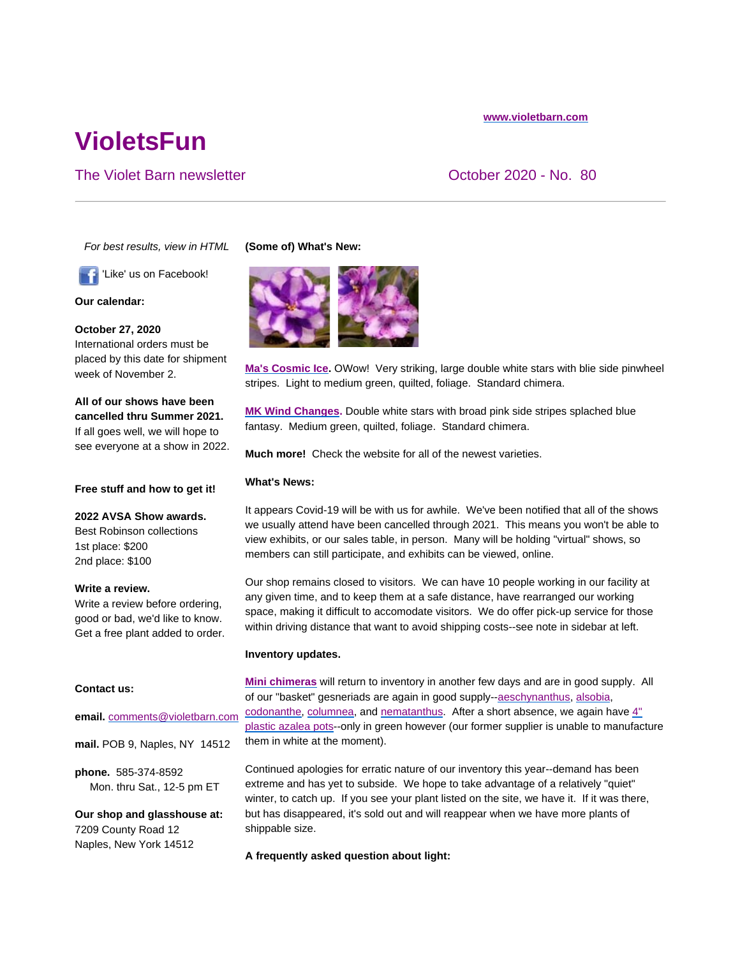#### **www.violetbarn.com**

# **VioletsFun**

## The Violet Barn newsletter The Violet Barn newsletter Contact Contact Contact Contact October 2020 - No. 80

*For best results, view in HTML*

'Like' us on Facebook!

**Our calendar:**

**October 27, 2020**  International orders must be placed by this date for shipment week of November 2.

**All of our shows have been cancelled thru Summer 2021.** If all goes well, we will hope to see everyone at a show in 2022.

#### **Free stuff and how to get it!**

**2022 AVSA Show awards.** Best Robinson collections 1st place: \$200 2nd place: \$100

#### **Write a review.**

Write a review before ordering, good or bad, we'd like to know. Get a free plant added to order.

#### **Contact us:**

#### **email.** comments@violetbarn.com

**mail.** POB 9, Naples, NY 14512

**phone.** 585-374-8592 Mon. thru Sat., 12-5 pm ET

**Our shop and glasshouse at:** 7209 County Road 12 Naples, New York 14512

### **(Some of) What's New:**



**Ma's Cosmic Ice.** OWow! Very striking, large double white stars with blie side pinwheel stripes. Light to medium green, quilted, foliage. Standard chimera.

**MK Wind Changes.** Double white stars with broad pink side stripes splached blue fantasy. Medium green, quilted, foliage. Standard chimera.

**Much more!** Check the website for all of the newest varieties.

## **What's News:**

It appears Covid-19 will be with us for awhile. We've been notified that all of the shows we usually attend have been cancelled through 2021. This means you won't be able to view exhibits, or our sales table, in person. Many will be holding "virtual" shows, so members can still participate, and exhibits can be viewed, online.

Our shop remains closed to visitors. We can have 10 people working in our facility at any given time, and to keep them at a safe distance, have rearranged our working space, making it difficult to accomodate visitors. We do offer pick-up service for those within driving distance that want to avoid shipping costs--see note in sidebar at left.

#### **Inventory updates.**

**Mini chimeras** will return to inventory in another few days and are in good supply. All of our "basket" gesneriads are again in good supply--aeschynanthus, alsobia, codonanthe, columnea, and nematanthus. After a short absence, we again have  $4$ " plastic azalea pots--only in green however (our former supplier is unable to manufacture them in white at the moment).

Continued apologies for erratic nature of our inventory this year--demand has been extreme and has yet to subside. We hope to take advantage of a relatively "quiet" winter, to catch up. If you see your plant listed on the site, we have it. If it was there, but has disappeared, it's sold out and will reappear when we have more plants of shippable size.

**A frequently asked question about light:**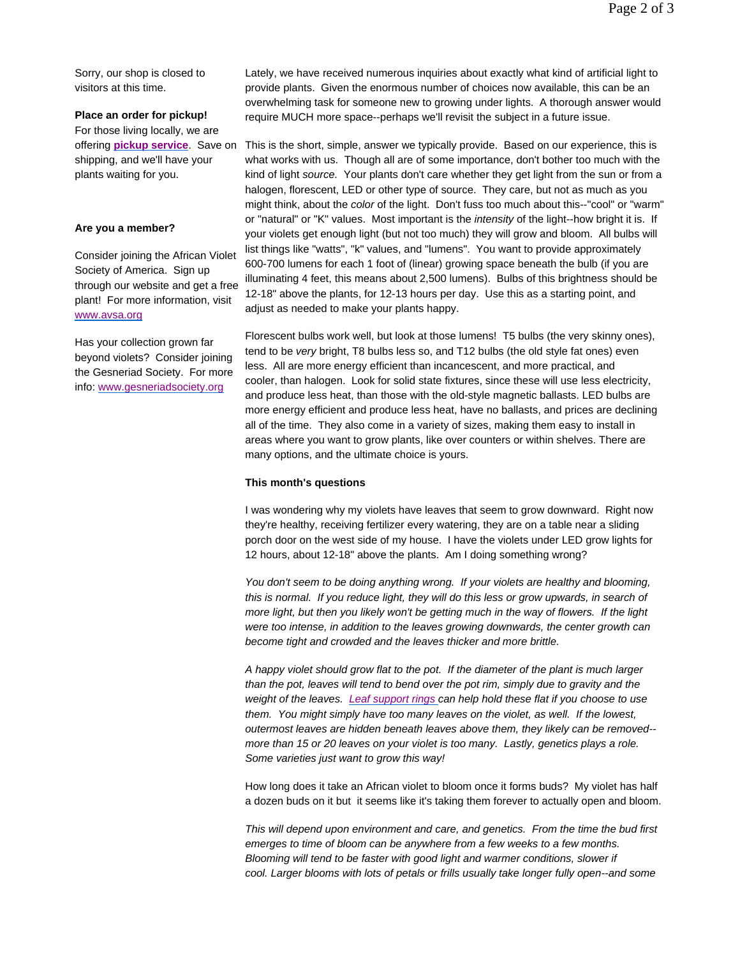Sorry, our shop is closed to visitors at this time.

## **Place an order for pickup!**

For those living locally, we are offering **pickup service**. Save on shipping, and we'll have your plants waiting for you.

#### **Are you a member?**

Consider joining the African Violet Society of America. Sign up through our website and get a free plant! For more information, visit www.avsa.org

Has your collection grown far beyond violets? Consider joining the Gesneriad Society. For more info: www.gesneriadsociety.org

Lately, we have received numerous inquiries about exactly what kind of artificial light to provide plants. Given the enormous number of choices now available, this can be an overwhelming task for someone new to growing under lights. A thorough answer would require MUCH more space--perhaps we'll revisit the subject in a future issue.

This is the short, simple, answer we typically provide. Based on our experience, this is what works with us. Though all are of some importance, don't bother too much with the kind of light *source.* Your plants don't care whether they get light from the sun or from a halogen, florescent, LED or other type of source. They care, but not as much as you might think, about the *color* of the light. Don't fuss too much about this--"cool" or "warm" or "natural" or "K" values. Most important is the *intensity* of the light--how bright it is. If your violets get enough light (but not too much) they will grow and bloom. All bulbs will list things like "watts", "k" values, and "lumens". You want to provide approximately 600-700 lumens for each 1 foot of (linear) growing space beneath the bulb (if you are illuminating 4 feet, this means about 2,500 lumens). Bulbs of this brightness should be 12-18" above the plants, for 12-13 hours per day. Use this as a starting point, and adjust as needed to make your plants happy.

Florescent bulbs work well, but look at those lumens! T5 bulbs (the very skinny ones), tend to be *very* bright, T8 bulbs less so, and T12 bulbs (the old style fat ones) even less. All are more energy efficient than incancescent, and more practical, and cooler, than halogen. Look for solid state fixtures, since these will use less electricity, and produce less heat, than those with the old-style magnetic ballasts. LED bulbs are more energy efficient and produce less heat, have no ballasts, and prices are declining all of the time. They also come in a variety of sizes, making them easy to install in areas where you want to grow plants, like over counters or within shelves. There are many options, and the ultimate choice is yours.

#### **This month's questions**

I was wondering why my violets have leaves that seem to grow downward. Right now they're healthy, receiving fertilizer every watering, they are on a table near a sliding porch door on the west side of my house. I have the violets under LED grow lights for 12 hours, about 12-18" above the plants. Am I doing something wrong?

*You don't seem to be doing anything wrong. If your violets are healthy and blooming, this is normal. If you reduce light, they will do this less or grow upwards, in search of more light, but then you likely won't be getting much in the way of flowers. If the light were too intense, in addition to the leaves growing downwards, the center growth can become tight and crowded and the leaves thicker and more brittle.* 

*A happy violet should grow flat to the pot. If the diameter of the plant is much larger than the pot, leaves will tend to bend over the pot rim, simply due to gravity and the weight of the leaves. Leaf support rings can help hold these flat if you choose to use them. You might simply have too many leaves on the violet, as well. If the lowest, outermost leaves are hidden beneath leaves above them, they likely can be removed- more than 15 or 20 leaves on your violet is too many. Lastly, genetics plays a role. Some varieties just want to grow this way!* 

How long does it take an African violet to bloom once it forms buds? My violet has half a dozen buds on it but it seems like it's taking them forever to actually open and bloom.

*This will depend upon environment and care, and genetics. From the time the bud first emerges to time of bloom can be anywhere from a few weeks to a few months. Blooming will tend to be faster with good light and warmer conditions, slower if cool. Larger blooms with lots of petals or frills usually take longer fully open--and some*